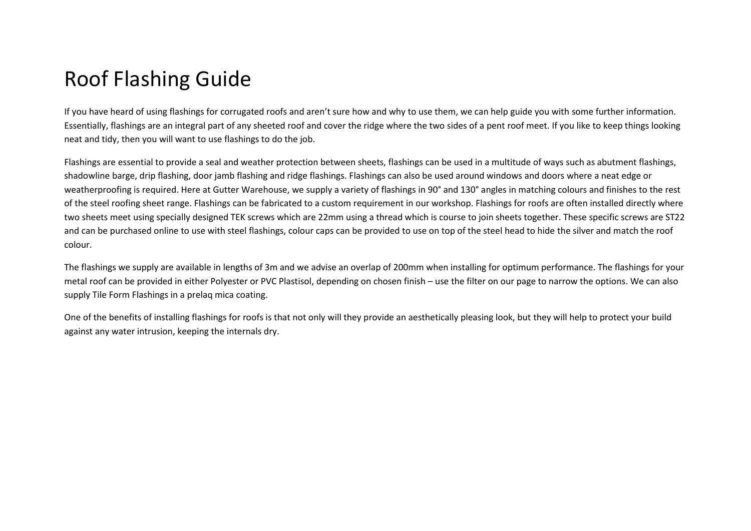## Roof Flashing Guide

If you have heard of using flashings for corrugated roofs and aren't sure how and why to use them, we can help guide you with some further information. Essentially, flashings are an integral part of any sheeted roof and cover the ridge where the two sides of a pent roof meet. If you like to keep things looking neat and tidy, then you will want to use flashings to do the job.

Flashings are essential to provide a seal and weather protection between sheets, flashings can be used in a multitude of ways such as abutment flashings, shadowline barge, drip flashing, door jamb flashing and ridge flashings. Flashings can also be used around windows and doors where a neat edge or weatherproofing is required. Here at Gutter Warehouse, we supply a variety of flashings in 90° and 130° angles in matching colours and finishes to the rest of the steel roofing sheet range. Flashings can be fabricated to a custom requirement in our workshop. Flashings for roofs are often installed directly where two sheets meet using specially designed TEK screws which are 22mm using a thread which is course to join sheets together. These specific screws are ST22 and can be purchased online to use with steel flashings, colour caps can be provided to use on top of the steel head to hide the silver and match the roof colour.

The flashings we supply are available in lengths of 3m and we advise an overlap of 200mm when installing for optimum performance. The flashings for your metal roof can be provided in either Polyester or PVC Plastisol, depending on chosen finish – use the filter on our page to narrow the options. We can also supply Tile Form Flashings in a prelaq mica coating.

One of the benefits of installing flashings for roofs is that not only will they provide an aesthetically pleasing look, but they will help to protect your build against any water intrusion, keeping the internals dry.